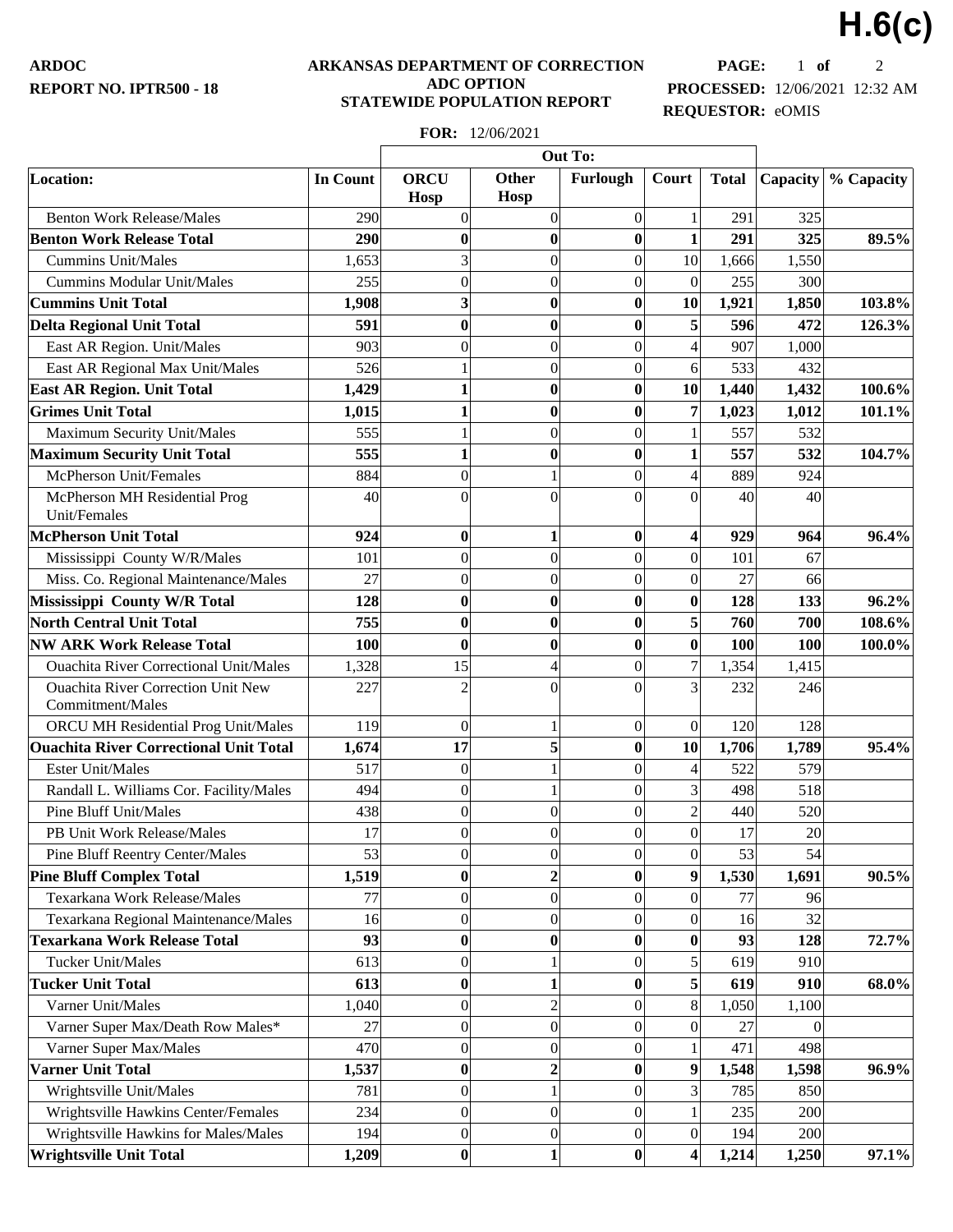**ARDOC REPORT NO. IPTR500 - 18**

## **ARKANSAS DEPARTMENT OF CORRECTION ADC OPTION STATEWIDE POPULATION REPORT**

**PAGE:** 1 **of** 2 **PROCESSED:** 12/06/2021 12:32 AM **REQUESTOR:** eOMIS

**H.6(c)**

|                                                               |                 | Out To:                    |                      |                  |                         |              |          |            |
|---------------------------------------------------------------|-----------------|----------------------------|----------------------|------------------|-------------------------|--------------|----------|------------|
| Location:                                                     | <b>In Count</b> | <b>ORCU</b><br><b>Hosp</b> | <b>Other</b><br>Hosp | Furlough         | Court                   | <b>Total</b> | Capacity | % Capacity |
| <b>Benton Work Release/Males</b>                              | 290             | $\overline{0}$             | $\overline{0}$       | $\boldsymbol{0}$ |                         | 291          | 325      |            |
| <b>Benton Work Release Total</b>                              | 290             | $\bf{0}$                   | $\bf{0}$             | $\boldsymbol{0}$ | $\mathbf{1}$            | 291          | 325      | 89.5%      |
| <b>Cummins Unit/Males</b>                                     | 1,653           | $\overline{3}$             | $\boldsymbol{0}$     | $\overline{0}$   | 10                      | 1,666        | 1,550    |            |
| <b>Cummins Modular Unit/Males</b>                             | 255             | $\overline{0}$             | $\overline{0}$       | $\overline{0}$   | $\overline{0}$          | 255          | 300      |            |
| <b>Cummins Unit Total</b>                                     | 1,908           | $\overline{\mathbf{3}}$    | $\bf{0}$             | $\bf{0}$         | 10                      | 1,921        | 1,850    | 103.8%     |
| <b>Delta Regional Unit Total</b>                              | 591             | $\bf{0}$                   | $\bf{0}$             | $\bf{0}$         | 5                       | 596          | 472      | 126.3%     |
| East AR Region. Unit/Males                                    | 903             | $\overline{0}$             | $\boldsymbol{0}$     | $\overline{0}$   | $\overline{4}$          | 907          | 1,000    |            |
| East AR Regional Max Unit/Males                               | 526             |                            | $\boldsymbol{0}$     | $\overline{0}$   | 6                       | 533          | 432      |            |
| <b>East AR Region. Unit Total</b>                             | 1,429           |                            | $\bf{0}$             | $\bf{0}$         | 10                      | 1,440        | 1,432    | 100.6%     |
| <b>Grimes Unit Total</b>                                      | 1,015           | 1                          | $\bf{0}$             | $\bf{0}$         | $\overline{7}$          | 1,023        | 1,012    | 101.1%     |
| Maximum Security Unit/Males                                   | 555             |                            | $\overline{0}$       | $\overline{0}$   |                         | 557          | 532      |            |
| <b>Maximum Security Unit Total</b>                            | 555             | 1                          | $\bf{0}$             | $\bf{0}$         | $\mathbf{1}$            | 557          | 532      | 104.7%     |
| McPherson Unit/Females                                        | 884             | $\boldsymbol{0}$           | $\mathbf{1}$         | $\overline{0}$   | $\overline{4}$          | 889          | 924      |            |
| McPherson MH Residential Prog<br>Unit/Females                 | 40              | $\Omega$                   | $\theta$             | $\theta$         | $\theta$                | 40           | 40       |            |
| <b>McPherson Unit Total</b>                                   | 924             | $\boldsymbol{0}$           | $\mathbf{1}$         | $\bf{0}$         | $\overline{\mathbf{4}}$ | 929          | 964      | 96.4%      |
| Mississippi County W/R/Males                                  | 101             | $\overline{0}$             | $\boldsymbol{0}$     | $\overline{0}$   | $\boldsymbol{0}$        | 101          | 67       |            |
| Miss. Co. Regional Maintenance/Males                          | 27              | $\boldsymbol{0}$           | $\boldsymbol{0}$     | $\overline{0}$   | $\theta$                | 27           | 66       |            |
| Mississippi County W/R Total                                  | 128             | $\bf{0}$                   | $\bf{0}$             | $\bf{0}$         | $\bf{0}$                | 128          | 133      | 96.2%      |
| <b>North Central Unit Total</b>                               | 755             | $\bf{0}$                   | $\bf{0}$             | $\bf{0}$         | 5                       | 760          | 700      | 108.6%     |
| <b>NW ARK Work Release Total</b>                              | 100             | $\bf{0}$                   | $\bf{0}$             | $\bf{0}$         | $\bf{0}$                | 100          | 100      | 100.0%     |
| <b>Ouachita River Correctional Unit/Males</b>                 | 1,328           | 15                         | $\overline{4}$       | $\overline{0}$   | $\overline{7}$          | 1,354        | 1,415    |            |
| <b>Ouachita River Correction Unit New</b><br>Commitment/Males | 227             | $\overline{2}$             | $\theta$             | $\Omega$         | 3                       | 232          | 246      |            |
| ORCU MH Residential Prog Unit/Males                           | 119             | $\overline{0}$             | 1                    | $\boldsymbol{0}$ | $\theta$                | 120          | 128      |            |
| <b>Ouachita River Correctional Unit Total</b>                 | 1,674           | 17                         | 5                    | $\bf{0}$         | 10                      | 1,706        | 1,789    | 95.4%      |
| <b>Ester Unit/Males</b>                                       | 517             | $\boldsymbol{0}$           | $\,1$                | $\overline{0}$   | $\overline{4}$          | 522          | 579      |            |
| Randall L. Williams Cor. Facility/Males                       | 494             | $\boldsymbol{0}$           | $\mathbf{1}$         | $\overline{0}$   | $\overline{3}$          | 498          | 518      |            |
| <b>Pine Bluff Unit/Males</b>                                  | 438             | $\boldsymbol{0}$           | $\boldsymbol{0}$     | $\overline{0}$   | $\overline{2}$          | 440          | 520      |            |
| PB Unit Work Release/Males                                    | 17              | $\overline{0}$             | $\boldsymbol{0}$     | $\theta$         | $\Omega$                | 17           | 20       |            |
| Pine Bluff Reentry Center/Males                               | 53              | $\boldsymbol{0}$           | $\boldsymbol{0}$     | $\boldsymbol{0}$ | $\vert 0 \vert$         | 53           | 54       |            |
| <b>Pine Bluff Complex Total</b>                               | 1,519           | $\bf{0}$                   | $\overline{c}$       | $\bf{0}$         | 9                       | 1,530        | 1,691    | 90.5%      |
| Texarkana Work Release/Males                                  | 77              | $\boldsymbol{0}$           | $\boldsymbol{0}$     | $\overline{0}$   | $\overline{0}$          | 77           | 96       |            |
| Texarkana Regional Maintenance/Males                          | 16              | $\boldsymbol{0}$           | $\boldsymbol{0}$     | $\overline{0}$   | $\overline{0}$          | 16           | 32       |            |
| <b>Texarkana Work Release Total</b>                           | 93              | $\bf{0}$                   | $\bf{0}$             | $\bf{0}$         | $\bf{0}$                | 93           | 128      | 72.7%      |
| <b>Tucker Unit/Males</b>                                      | 613             | $\boldsymbol{0}$           | $\mathbf{1}$         | $\overline{0}$   | 5                       | 619          | 910      |            |
| <b>Tucker Unit Total</b>                                      | 613             | $\bf{0}$                   | $\mathbf{1}$         | $\bf{0}$         | 5                       | 619          | 910      | 68.0%      |
| Varner Unit/Males                                             | 1,040           | $\boldsymbol{0}$           | $\overline{c}$       | $\overline{0}$   | $\bf{8}$                | 1,050        | 1,100    |            |
| Varner Super Max/Death Row Males*                             | 27              | $\boldsymbol{0}$           | $\boldsymbol{0}$     | $\overline{0}$   | $\theta$                | 27           | $\Omega$ |            |
| Varner Super Max/Males                                        | 470             | $\boldsymbol{0}$           | $\boldsymbol{0}$     | $\overline{0}$   |                         | 471          | 498      |            |
| <b>Varner Unit Total</b>                                      | 1,537           | $\bf{0}$                   | $\boldsymbol{2}$     | $\bf{0}$         | 9                       | 1,548        | 1,598    | 96.9%      |
| Wrightsville Unit/Males                                       | 781             | $\boldsymbol{0}$           | $\mathbf{1}$         | $\overline{0}$   | 3                       | 785          | 850      |            |
| Wrightsville Hawkins Center/Females                           | 234             | $\overline{0}$             | $\boldsymbol{0}$     | $\overline{0}$   |                         | 235          | 200      |            |
| Wrightsville Hawkins for Males/Males                          | 194             | $\boldsymbol{0}$           | $\boldsymbol{0}$     | $\boldsymbol{0}$ | $\overline{0}$          | 194          | 200      |            |
| <b>Wrightsville Unit Total</b>                                | 1,209           | $\boldsymbol{0}$           | $\mathbf 1$          | $\boldsymbol{0}$ | $\overline{\mathbf{4}}$ | 1,214        | 1,250    | 97.1%      |